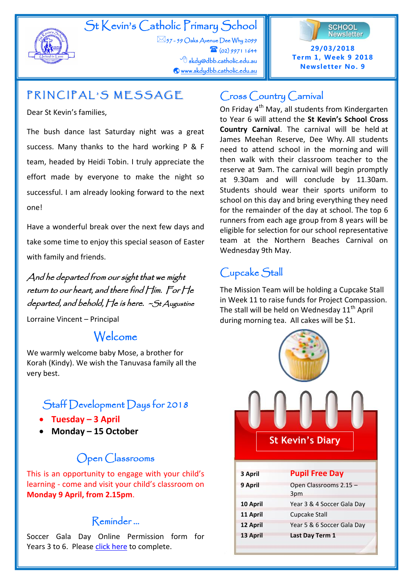

# St Kevin's Catholic Primary School

 $\boxtimes$ 57 - 59 Oaks Avenue Dee Why 2099  $\mathbf{a}$  (02) 9971 1644 <sup></sub><br><sup>d</sup> skdy@dbb.catholic.edu.au</sup>  [www.skdydbb.catholic.edu.au](http://www.skdydbb.catholic.edu.au/) 



# PRINCIPAL'S MESSAGE

Dear St Kevin's families,

The bush dance last Saturday night was a great success. Many thanks to the hard working P & F team, headed by Heidi Tobin. I truly appreciate the effort made by everyone to make the night so successful. I am already looking forward to the next one!

Have a wonderful break over the next few days and take some time to enjoy this special season of Easter with family and friends.

And he departed from our sight that we might return to our heart, and there find Him. For He departed, and behold, He is here. ~St Augustine

Lorraine Vincent – Principal

#### **CURRICULUM CORNER** Welcome

We warmly welcome baby Mose, a brother for Korah (Kindy). We wish the Tanuvasa family all the very best.

## Staff Development Days for 2018

- **Tuesday – 3 April**
- **Monday – 15 October**

# Open Classrooms

This is an opportunity to engage with your child's learning - come and visit your child's classroom on **Monday 9 April, from 2.15pm**.

## Reminder …

Soccer Gala Day Online Permission form for Years 3 to 6. Please [click here](https://docs.google.com/forms/d/e/1FAIpQLSetcSiIulBBWSsuWKx8Jw0Bx44gZWBrCbHiwPn1CLpCJzs7rQ/viewform?usp=send_form) to complete.

## Cross Country Carnival

On Friday 4<sup>th</sup> May, all students from Kindergarten to Year 6 will attend the **St Kevin's School Cross Country Carnival**. The carnival will be held at James Meehan Reserve, Dee Why. All students need to attend school in the morning and will then walk with their classroom teacher to the reserve at 9am. The carnival will begin promptly at 9.30am and will conclude by 11.30am. Students should wear their sports uniform to school on this day and bring everything they need for the remainder of the day at school. The top 6 runners from each age group from 8 years will be eligible for selection for our school representative team at the Northern Beaches Carnival on Wednesday 9th May.

# Cupcake Stall

The Mission Team will be holding a Cupcake Stall in Week 11 to raise funds for Project Compassion. The stall will be held on Wednesday  $11<sup>th</sup>$  April during morning tea. All cakes will be \$1.

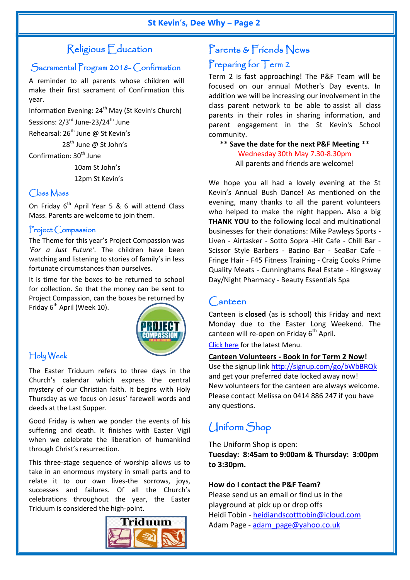## Religious Education

### Sacramental Program 2018- Confirmation

A reminder to all parents whose children will make their first sacrament of Confirmation this year.

Information Evening: 24<sup>th</sup> May (St Kevin's Church)

Sessions: 2/3<sup>rd</sup> June-23/24<sup>th</sup> June

Rehearsal:  $26^{th}$  June @ St Kevin's

28<sup>th</sup> June @ St John's

Confirmation: 30<sup>th</sup> June

 10am St John's 12pm St Kevin's

#### Class Mass

On Friday  $6^{th}$  April Year 5 & 6 will attend Class Mass. Parents are welcome to join them.

#### Project Compassion

The Theme for this year's Project Compassion was *'For a Just Future'.* The children have been watching and listening to stories of family's in less fortunate circumstances than ourselves.

It is time for the boxes to be returned to school for collection. So that the money can be sent to Project Compassion, can the boxes be returned by Friday 6<sup>th</sup> April (Week 10).



### Holy Week

The Easter Triduum refers to three days in the Church's calendar which express the central mystery of our Christian faith. It begins with Holy Thursday as we focus on Jesus' farewell words and deeds at the Last Supper.

Good Friday is when we ponder the events of his suffering and death. It finishes with Easter Vigil when we celebrate the liberation of humankind through Christ's resurrection.

This three-stage sequence of worship allows us to take in an enormous mystery in small parts and to relate it to our own lives-the sorrows, joys, successes and failures. Of all the Church's celebrations throughout the year, the Easter Triduum is considered the high-point.



### Parents & Friends News

## Preparing for Term 2

Term 2 is fast approaching! The P&F Team will be focused on our annual Mother's Day events. In addition we will be increasing our involvement in the class parent network to be able to assist all class parents in their roles in sharing information, and parent engagement in the St Kevin's School community.

**\*\* Save the date for the next P&F Meeting** \*\* Wednesday 30th May 7.30-8.30pm All parents and friends are welcome!

We hope you all had a lovely evening at the St Kevin's Annual Bush Dance! As mentioned on the evening, many thanks to all the parent volunteers who helped to make the night happen**.** Also a big **THANK YOU** to the following local and multinational businesses for their donations: Mike Pawleys Sports - Liven - Airtasker - Sotto Sopra -Hit Cafe - Chill Bar - Scissor Style Barbers - Bacino Bar - SeaBar Cafe - Fringe Hair - F45 Fitness Training - Craig Cooks Prime Quality Meats - Cunninghams Real Estate - Kingsway Day/Night Pharmacy - Beauty Essentials Spa

### Canteen

Canteen is **closed** (as is school) this Friday and next Monday due to the Easter Long Weekend. The canteen will re-open on Friday  $6<sup>th</sup>$  April.

[Click here](https://www.skdydbb.catholic.edu.au/news-events/190/p/notes) for the latest Menu.

#### **Canteen Volunteers - Book in for Term 2 Now!**

Use the signup link<http://signup.com/go/bWbBRQk> and get your preferred date locked away now! New volunteers for the canteen are always welcome. Please contact Melissa on 0414 886 247 if you have any questions.

## Uniform Shop

The Uniform Shop is open:

**Tuesday: 8:45am to 9:00am & Thursday: 3:00pm to 3:30pm.**

#### **How do I contact the P&F Team?**

Please send us an email or find us in the playground at pick up or drop offs Heidi Tobin - [heidiandscotttobin@icloud.com](mailto:heidiandscotttobin@icloud.com) Adam Page - [adam\\_page@yahoo.co.uk](mailto:adam_page@yahoo.co.uk)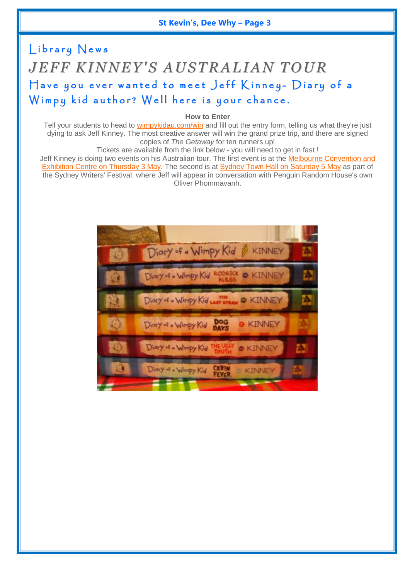#### **St Kevin's, Dee Why – Page 3**

# Library News *JEFF KINNEY'S AUSTRALIAN TOUR* Have you ever wanted to meet Jeff Kinney- Diary of a Wimpy kid author? Well here is your chance.

**How to Enter**

Tell your students to head to [wimpykidau.com/win](https://webmail.dbb.org.au/owa/redir.aspx?C=W3iN3Pzf7IDujZPradHwZnzgKLkq53lpRoPwVDEEpUZdW1VYFJXVCA..&URL=https%3a%2f%2fpenguin.us1.list-manage.com%2ftrack%2fclick%3fu%3d8fa7cbeb976af75161f9d63c0%26id%3dc75d419b73%26e%3da76ec3c5a0) and fill out the entry form, telling us what they're just dying to ask Jeff Kinney. The most creative answer will win the grand prize trip, and there are signed copies of *The Getaway* for ten runners up!

Tickets are available from the link below - you will need to get in fast !

Jeff Kinney is doing two events on his Australian tour. The first event is at the Melbourne Convention and [Exhibition Centre on Thursday 3 May.](https://webmail.dbb.org.au/owa/redir.aspx?C=ZQ8Jl9wpyjn9ku-kc06bEMIzAO4g7pcfLvDQQTUgco1dW1VYFJXVCA..&URL=https%3a%2f%2fpenguin.us1.list-manage.com%2ftrack%2fclick%3fu%3d8fa7cbeb976af75161f9d63c0%26id%3dae0db4827e%26e%3da76ec3c5a0) The second is at [Sydney Town Hall on Saturday 5 May](https://webmail.dbb.org.au/owa/redir.aspx?C=qayZF-JpjMcAJlkneYfcGTkKNc_QABZ4hqiAQyXyiFpdW1VYFJXVCA..&URL=https%3a%2f%2fpenguin.us1.list-manage.com%2ftrack%2fclick%3fu%3d8fa7cbeb976af75161f9d63c0%26id%3dcd88852b8c%26e%3da76ec3c5a0) as part of the Sydney Writers' Festival, where Jeff will appear in conversation with Penguin Random House's own Oliver Phommavanh.

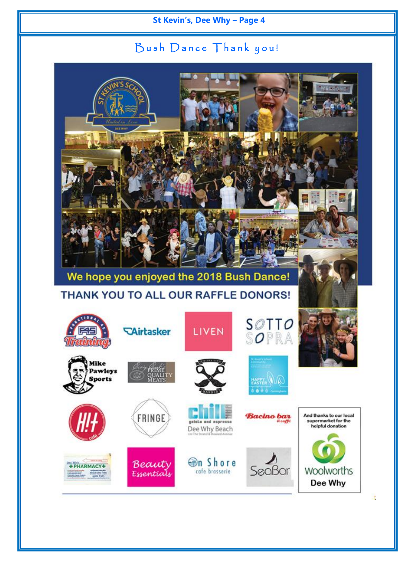### St Kevin's, Dee Why - Page 4

## Bush Dance Thank you!



F